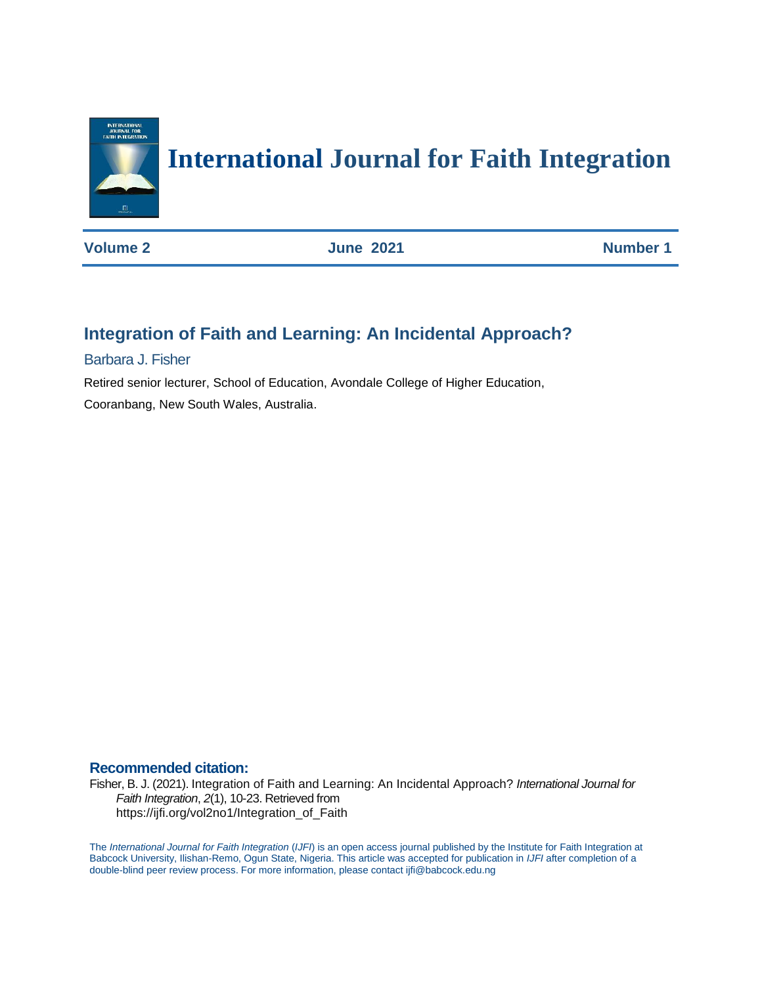

# **International Journal for Faith Integration**

**Volume 2 June 2021 Number 1** 

# **Integration of Faith and Learning: An Incidental Approach?**

Barbara J. Fisher

Retired senior lecturer, School of Education, Avondale College of Higher Education,

Cooranbang, New South Wales, Australia.

### **Recommended citation:**

Fisher, B. J. (2021). Integration of Faith and Learning: An Incidental Approach? *International Journal for Faith Integration*, *2*(1), 10-23. Retrieved from https://ijfi.org/vol2no1/Integration\_of\_Faith

The *International Journal for Faith Integration* (*IJFI*) is an open access journal published by the Institute for Faith Integration at Babcock University, Ilishan-Remo, Ogun State, Nigeria. This article was accepted for publication in *IJFI* after completion of a double-blind peer review process. For more information, please contact ijfi@babcock.edu.ng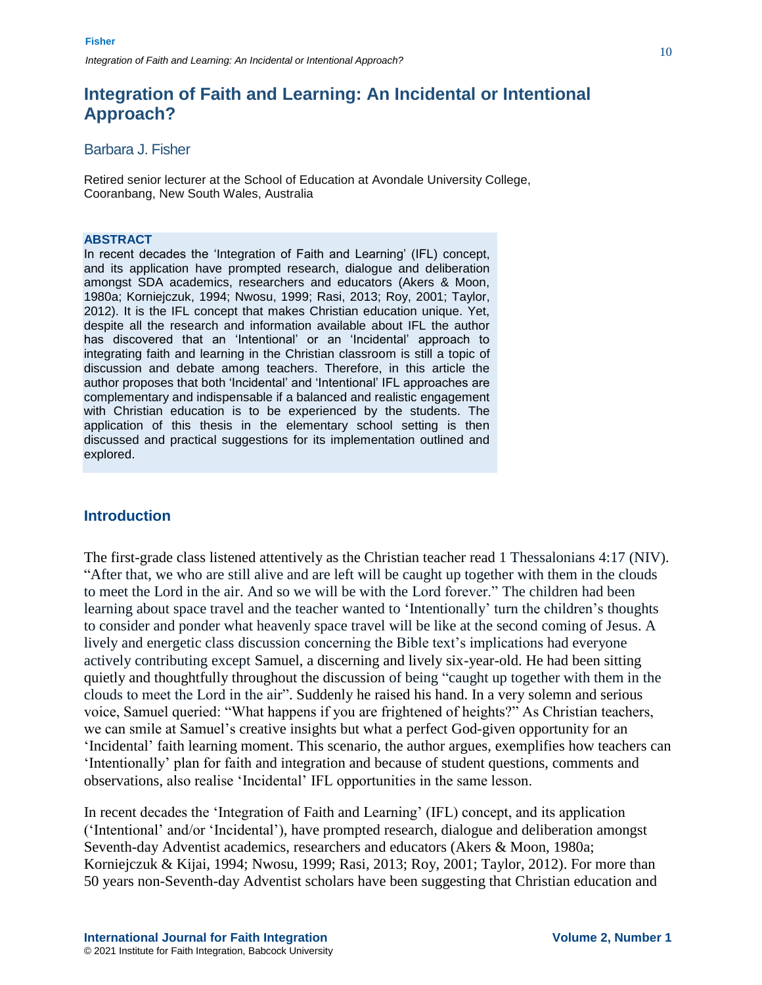Barbara J. Fisher

Retired senior lecturer at the School of Education at Avondale University College, Cooranbang, New South Wales, Australia

#### **ABSTRACT**

In recent decades the 'Integration of Faith and Learning' (IFL) concept, and its application have prompted research, dialogue and deliberation amongst SDA academics, researchers and educators (Akers & Moon, 1980a; Korniejczuk, 1994; Nwosu, 1999; Rasi, 2013; Roy, 2001; Taylor, 2012). It is the IFL concept that makes Christian education unique. Yet, despite all the research and information available about IFL the author has discovered that an 'Intentional' or an 'Incidental' approach to integrating faith and learning in the Christian classroom is still a topic of discussion and debate among teachers. Therefore, in this article the author proposes that both 'Incidental' and 'Intentional' IFL approaches are complementary and indispensable if a balanced and realistic engagement with Christian education is to be experienced by the students. The application of this thesis in the elementary school setting is then discussed and practical suggestions for its implementation outlined and explored.

### **Introduction**

The first-grade class listened attentively as the Christian teacher read 1 Thessalonians 4:17 (NIV). "After that, we who are still alive and are left will be caught up together with them in the clouds to meet the Lord in the air. And so we will be with the Lord forever." The children had been learning about space travel and the teacher wanted to 'Intentionally' turn the children's thoughts to consider and ponder what heavenly space travel will be like at the second coming of Jesus. A lively and energetic class discussion concerning the Bible text's implications had everyone actively contributing except Samuel, a discerning and lively six-year-old. He had been sitting quietly and thoughtfully throughout the discussion of being "caught up together with them in the clouds to meet the Lord in the air". Suddenly he raised his hand. In a very solemn and serious voice, Samuel queried: "What happens if you are frightened of heights?" As Christian teachers, we can smile at Samuel's creative insights but what a perfect God-given opportunity for an 'Incidental' faith learning moment. This scenario, the author argues, exemplifies how teachers can 'Intentionally' plan for faith and integration and because of student questions, comments and observations, also realise 'Incidental' IFL opportunities in the same lesson.

In recent decades the 'Integration of Faith and Learning' (IFL) concept, and its application ('Intentional' and/or 'Incidental'), have prompted research, dialogue and deliberation amongst Seventh-day Adventist academics, researchers and educators (Akers & Moon, 1980a; Korniejczuk & Kijai, 1994; Nwosu, 1999; Rasi, 2013; Roy, 2001; Taylor, 2012). For more than 50 years non-Seventh-day Adventist scholars have been suggesting that Christian education and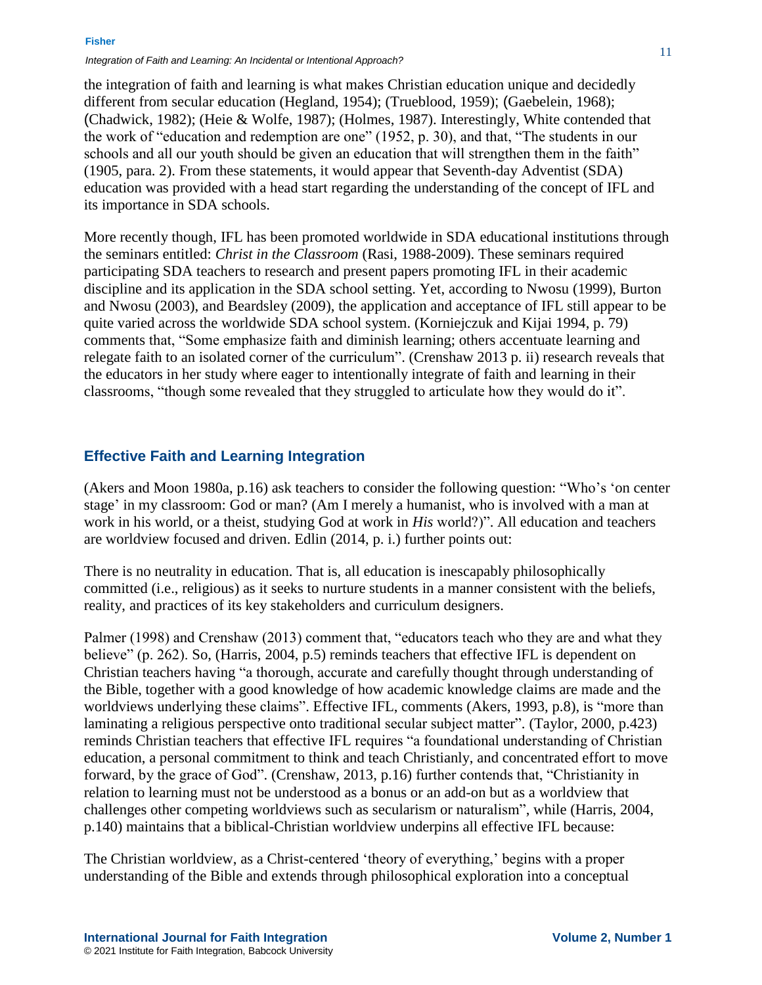**Fisher**

*Integration of Faith and Learning: An Incidental or Intentional Approach?*

the integration of faith and learning is what makes Christian education unique and decidedly different from secular education (Hegland, 1954); (Trueblood, 1959); (Gaebelein, 1968); (Chadwick, 1982); (Heie & Wolfe, 1987); (Holmes, 1987). Interestingly, White contended that the work of "education and redemption are one" (1952, p. 30), and that, "The students in our schools and all our youth should be given an education that will strengthen them in the faith" (1905, para. 2). From these statements, it would appear that Seventh-day Adventist (SDA) education was provided with a head start regarding the understanding of the concept of IFL and its importance in SDA schools.

More recently though, IFL has been promoted worldwide in SDA educational institutions through the seminars entitled: *Christ in the Classroom* (Rasi, 1988-2009). These seminars required participating SDA teachers to research and present papers promoting IFL in their academic discipline and its application in the SDA school setting. Yet, according to Nwosu (1999), Burton and Nwosu (2003), and Beardsley (2009), the application and acceptance of IFL still appear to be quite varied across the worldwide SDA school system. (Korniejczuk and Kijai 1994, p. 79) comments that, "Some emphasize faith and diminish learning; others accentuate learning and relegate faith to an isolated corner of the curriculum". (Crenshaw 2013 p. ii) research reveals that the educators in her study where eager to intentionally integrate of faith and learning in their classrooms, "though some revealed that they struggled to articulate how they would do it".

### **Effective Faith and Learning Integration**

(Akers and Moon 1980a, p.16) ask teachers to consider the following question: "Who's 'on center stage' in my classroom: God or man? (Am I merely a humanist, who is involved with a man at work in his world, or a theist, studying God at work in *His* world?)". All education and teachers are worldview focused and driven. Edlin (2014, p. i.) further points out:

There is no neutrality in education. That is, all education is inescapably philosophically committed (i.e., religious) as it seeks to nurture students in a manner consistent with the beliefs, reality, and practices of its key stakeholders and curriculum designers.

Palmer (1998) and Crenshaw (2013) comment that, "educators teach who they are and what they believe" (p. 262). So, (Harris, 2004, p.5) reminds teachers that effective IFL is dependent on Christian teachers having "a thorough, accurate and carefully thought through understanding of the Bible, together with a good knowledge of how academic knowledge claims are made and the worldviews underlying these claims". Effective IFL, comments (Akers, 1993, p.8), is "more than laminating a religious perspective onto traditional secular subject matter". (Taylor, 2000, p.423) reminds Christian teachers that effective IFL requires "a foundational understanding of Christian education, a personal commitment to think and teach Christianly, and concentrated effort to move forward, by the grace of God". (Crenshaw, 2013, p.16) further contends that, "Christianity in relation to learning must not be understood as a bonus or an add-on but as a worldview that challenges other competing worldviews such as secularism or naturalism", while (Harris, 2004, p.140) maintains that a biblical-Christian worldview underpins all effective IFL because:

The Christian worldview, as a Christ-centered 'theory of everything,' begins with a proper understanding of the Bible and extends through philosophical exploration into a conceptual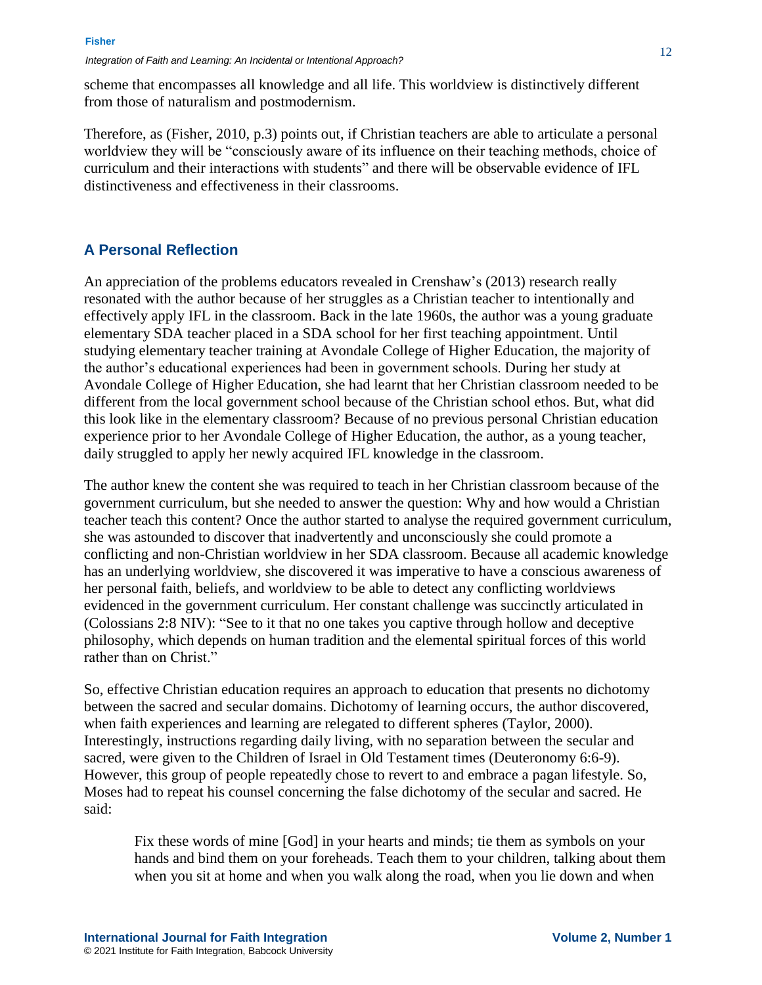scheme that encompasses all knowledge and all life. This worldview is distinctively different from those of naturalism and postmodernism.

Therefore, as (Fisher, 2010, p.3) points out, if Christian teachers are able to articulate a personal worldview they will be "consciously aware of its influence on their teaching methods, choice of curriculum and their interactions with students" and there will be observable evidence of IFL distinctiveness and effectiveness in their classrooms.

### **A Personal Reflection**

An appreciation of the problems educators revealed in Crenshaw's (2013) research really resonated with the author because of her struggles as a Christian teacher to intentionally and effectively apply IFL in the classroom. Back in the late 1960s, the author was a young graduate elementary SDA teacher placed in a SDA school for her first teaching appointment. Until studying elementary teacher training at Avondale College of Higher Education, the majority of the author's educational experiences had been in government schools. During her study at Avondale College of Higher Education, she had learnt that her Christian classroom needed to be different from the local government school because of the Christian school ethos. But, what did this look like in the elementary classroom? Because of no previous personal Christian education experience prior to her Avondale College of Higher Education, the author, as a young teacher, daily struggled to apply her newly acquired IFL knowledge in the classroom.

The author knew the content she was required to teach in her Christian classroom because of the government curriculum, but she needed to answer the question: Why and how would a Christian teacher teach this content? Once the author started to analyse the required government curriculum, she was astounded to discover that inadvertently and unconsciously she could promote a conflicting and non-Christian worldview in her SDA classroom. Because all academic knowledge has an underlying worldview, she discovered it was imperative to have a conscious awareness of her personal faith, beliefs, and worldview to be able to detect any conflicting worldviews evidenced in the government curriculum. Her constant challenge was succinctly articulated in (Colossians 2:8 NIV): "See to it that no one takes you captive through hollow and deceptive philosophy, which depends on human tradition and the elemental spiritual forces of this world rather than on Christ."

So, effective Christian education requires an approach to education that presents no dichotomy between the sacred and secular domains. Dichotomy of learning occurs, the author discovered, when faith experiences and learning are relegated to different spheres (Taylor, 2000). Interestingly, instructions regarding daily living, with no separation between the secular and sacred, were given to the Children of Israel in Old Testament times (Deuteronomy 6:6-9). However, this group of people repeatedly chose to revert to and embrace a pagan lifestyle. So, Moses had to repeat his counsel concerning the false dichotomy of the secular and sacred. He said:

Fix these words of mine [God] in your hearts and minds; tie them as symbols on your hands and bind them on your foreheads. Teach them to your children, talking about them when you sit at home and when you walk along the road, when you lie down and when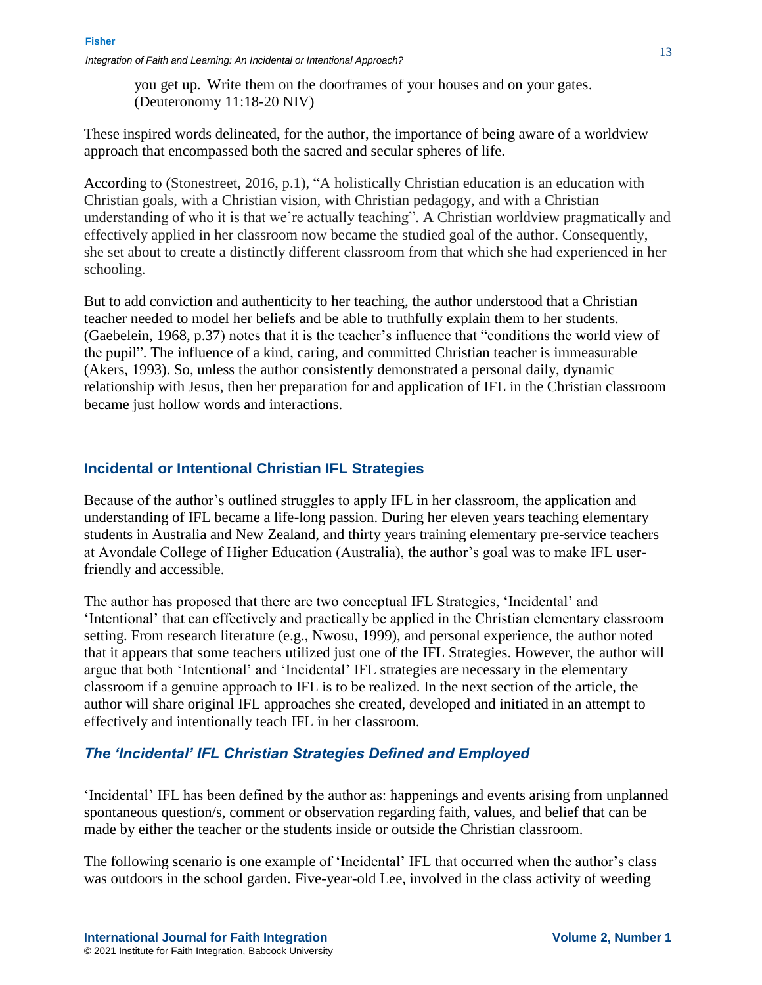you get up. Write them on the doorframes of your houses and on your gates. (Deuteronomy 11:18-20 NIV)

These inspired words delineated, for the author, the importance of being aware of a worldview approach that encompassed both the sacred and secular spheres of life.

According to (Stonestreet, 2016, p.1), "A holistically Christian education is an education with Christian goals, with a Christian vision, with Christian pedagogy, and with a Christian understanding of who it is that we're actually teaching". A Christian worldview pragmatically and effectively applied in her classroom now became the studied goal of the author. Consequently, she set about to create a distinctly different classroom from that which she had experienced in her schooling.

But to add conviction and authenticity to her teaching, the author understood that a Christian teacher needed to model her beliefs and be able to truthfully explain them to her students. (Gaebelein, 1968, p.37) notes that it is the teacher's influence that "conditions the world view of the pupil". The influence of a kind, caring, and committed Christian teacher is immeasurable (Akers, 1993). So, unless the author consistently demonstrated a personal daily, dynamic relationship with Jesus, then her preparation for and application of IFL in the Christian classroom became just hollow words and interactions.

### **Incidental or Intentional Christian IFL Strategies**

Because of the author's outlined struggles to apply IFL in her classroom, the application and understanding of IFL became a life-long passion. During her eleven years teaching elementary students in Australia and New Zealand, and thirty years training elementary pre-service teachers at Avondale College of Higher Education (Australia), the author's goal was to make IFL userfriendly and accessible.

The author has proposed that there are two conceptual IFL Strategies, 'Incidental' and 'Intentional' that can effectively and practically be applied in the Christian elementary classroom setting. From research literature (e.g., Nwosu, 1999), and personal experience, the author noted that it appears that some teachers utilized just one of the IFL Strategies. However, the author will argue that both 'Intentional' and 'Incidental' IFL strategies are necessary in the elementary classroom if a genuine approach to IFL is to be realized. In the next section of the article, the author will share original IFL approaches she created, developed and initiated in an attempt to effectively and intentionally teach IFL in her classroom.

### *The 'Incidental' IFL Christian Strategies Defined and Employed*

'Incidental' IFL has been defined by the author as: happenings and events arising from unplanned spontaneous question/s, comment or observation regarding faith, values, and belief that can be made by either the teacher or the students inside or outside the Christian classroom.

The following scenario is one example of 'Incidental' IFL that occurred when the author's class was outdoors in the school garden. Five-year-old Lee, involved in the class activity of weeding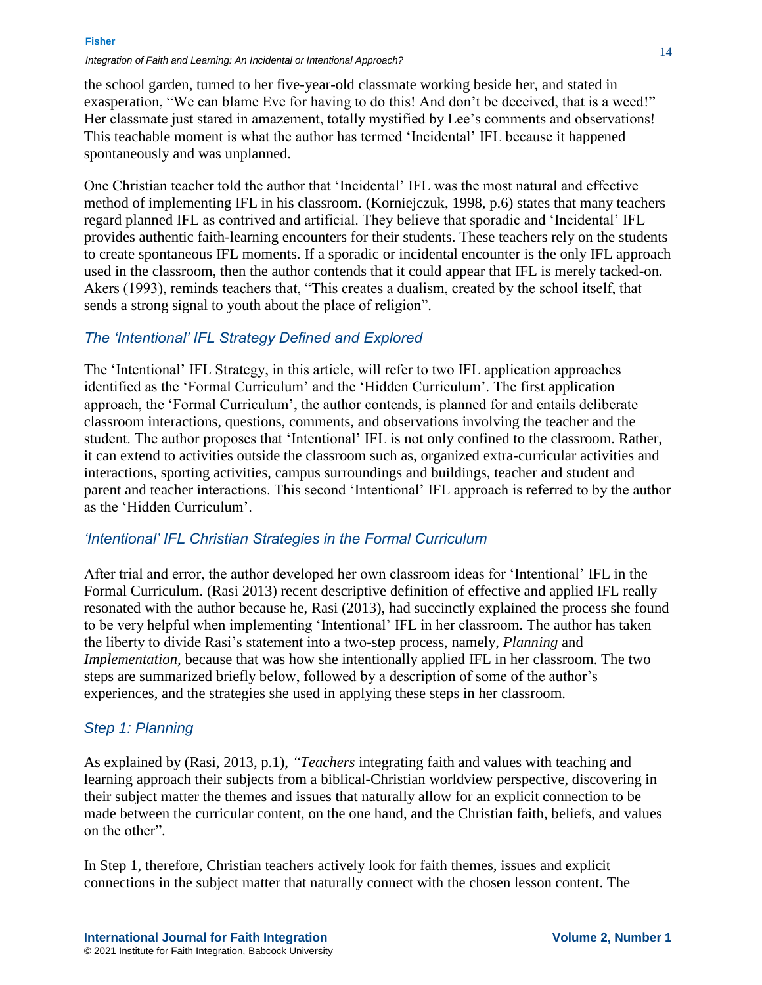#### **Fisher**

#### *Integration of Faith and Learning: An Incidental or Intentional Approach?*

the school garden, turned to her five-year-old classmate working beside her, and stated in exasperation, "We can blame Eve for having to do this! And don't be deceived, that is a weed!" Her classmate just stared in amazement, totally mystified by Lee's comments and observations! This teachable moment is what the author has termed 'Incidental' IFL because it happened spontaneously and was unplanned.

One Christian teacher told the author that 'Incidental' IFL was the most natural and effective method of implementing IFL in his classroom. (Korniejczuk, 1998, p.6) states that many teachers regard planned IFL as contrived and artificial. They believe that sporadic and 'Incidental' IFL provides authentic faith-learning encounters for their students. These teachers rely on the students to create spontaneous IFL moments. If a sporadic or incidental encounter is the only IFL approach used in the classroom, then the author contends that it could appear that IFL is merely tacked-on. Akers (1993), reminds teachers that, "This creates a dualism, created by the school itself, that sends a strong signal to youth about the place of religion".

### *The 'Intentional' IFL Strategy Defined and Explored*

The 'Intentional' IFL Strategy, in this article, will refer to two IFL application approaches identified as the 'Formal Curriculum' and the 'Hidden Curriculum'. The first application approach, the 'Formal Curriculum', the author contends, is planned for and entails deliberate classroom interactions, questions, comments, and observations involving the teacher and the student. The author proposes that 'Intentional' IFL is not only confined to the classroom. Rather, it can extend to activities outside the classroom such as, organized extra-curricular activities and interactions, sporting activities, campus surroundings and buildings, teacher and student and parent and teacher interactions. This second 'Intentional' IFL approach is referred to by the author as the 'Hidden Curriculum'.

### *'Intentional' IFL Christian Strategies in the Formal Curriculum*

After trial and error, the author developed her own classroom ideas for 'Intentional' IFL in the Formal Curriculum. (Rasi 2013) recent descriptive definition of effective and applied IFL really resonated with the author because he, Rasi (2013), had succinctly explained the process she found to be very helpful when implementing 'Intentional' IFL in her classroom. The author has taken the liberty to divide Rasi's statement into a two-step process, namely, *Planning* and *Implementation,* because that was how she intentionally applied IFL in her classroom. The two steps are summarized briefly below, followed by a description of some of the author's experiences, and the strategies she used in applying these steps in her classroom.

### *Step 1: Planning*

As explained by (Rasi, 2013, p.1), *"Teachers* integrating faith and values with teaching and learning approach their subjects from a biblical-Christian worldview perspective, discovering in their subject matter the themes and issues that naturally allow for an explicit connection to be made between the curricular content, on the one hand, and the Christian faith, beliefs, and values on the other".

In Step 1, therefore, Christian teachers actively look for faith themes, issues and explicit connections in the subject matter that naturally connect with the chosen lesson content. The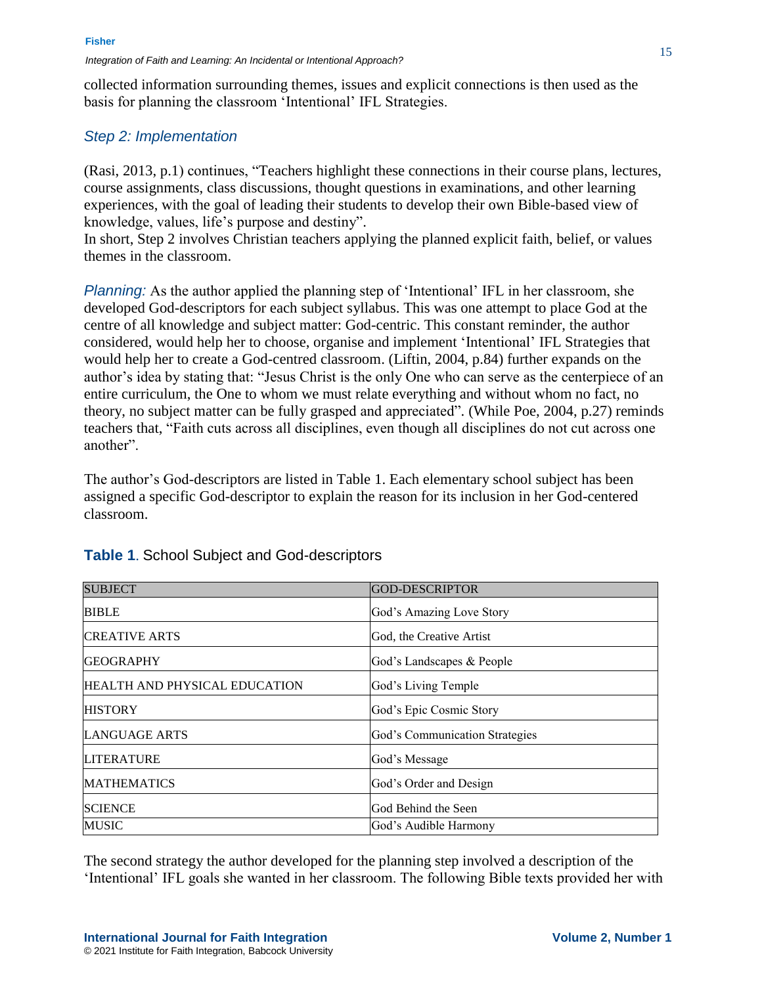collected information surrounding themes, issues and explicit connections is then used as the basis for planning the classroom 'Intentional' IFL Strategies.

### *Step 2: Implementation*

(Rasi, 2013, p.1) continues, "Teachers highlight these connections in their course plans, lectures, course assignments, class discussions, thought questions in examinations, and other learning experiences, with the goal of leading their students to develop their own Bible-based view of knowledge, values, life's purpose and destiny".

In short, Step 2 involves Christian teachers applying the planned explicit faith, belief, or values themes in the classroom.

*Planning:* As the author applied the planning step of 'Intentional' IFL in her classroom, she developed God-descriptors for each subject syllabus. This was one attempt to place God at the centre of all knowledge and subject matter: God-centric. This constant reminder, the author considered, would help her to choose, organise and implement 'Intentional' IFL Strategies that would help her to create a God-centred classroom. (Liftin, 2004, p.84) further expands on the author's idea by stating that: "Jesus Christ is the only One who can serve as the centerpiece of an entire curriculum, the One to whom we must relate everything and without whom no fact, no theory, no subject matter can be fully grasped and appreciated". (While Poe, 2004, p.27) reminds teachers that, "Faith cuts across all disciplines, even though all disciplines do not cut across one another".

The author's God-descriptors are listed in Table 1. Each elementary school subject has been assigned a specific God-descriptor to explain the reason for its inclusion in her God-centered classroom.

| <b>SUBJECT</b>                | <b>GOD-DESCRIPTOR</b>          |
|-------------------------------|--------------------------------|
| <b>BIBLE</b>                  | God's Amazing Love Story       |
| <b>CREATIVE ARTS</b>          | God, the Creative Artist       |
| <b>GEOGRAPHY</b>              | God's Landscapes & People      |
| HEALTH AND PHYSICAL EDUCATION | God's Living Temple            |
| <b>HISTORY</b>                | God's Epic Cosmic Story        |
| <b>LANGUAGE ARTS</b>          | God's Communication Strategies |
| <b>LITERATURE</b>             | God's Message                  |
| <b>MATHEMATICS</b>            | God's Order and Design         |
| <b>SCIENCE</b>                | God Behind the Seen            |
| <b>MUSIC</b>                  | God's Audible Harmony          |

### **Table 1**. School Subject and God-descriptors

The second strategy the author developed for the planning step involved a description of the 'Intentional' IFL goals she wanted in her classroom. The following Bible texts provided her with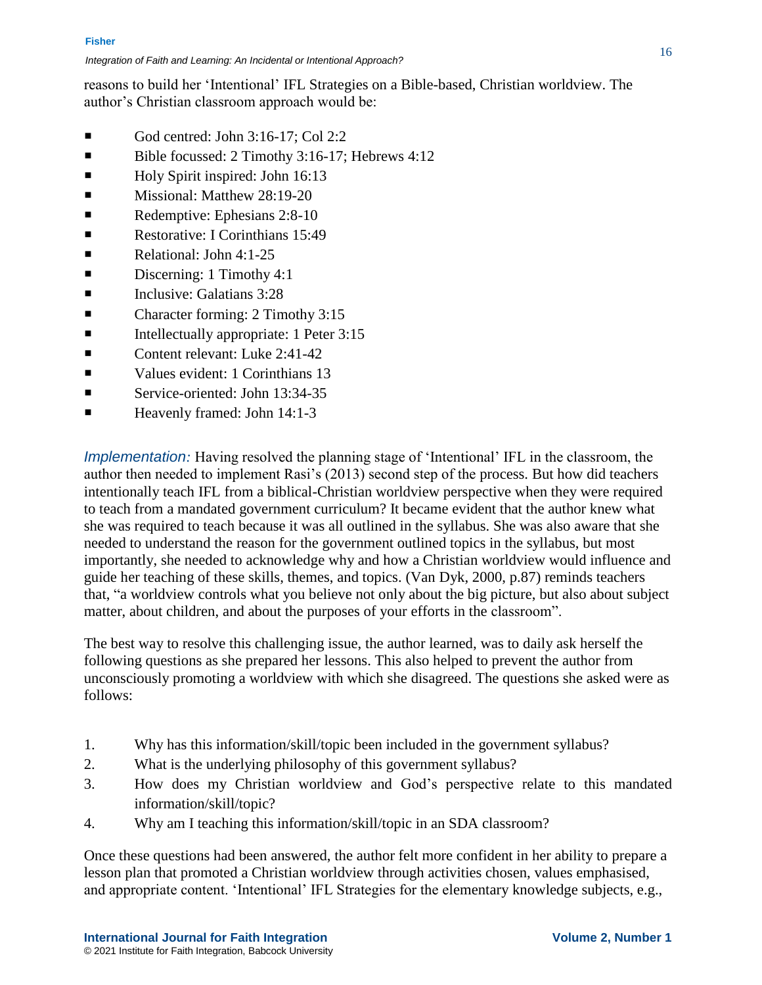reasons to build her 'Intentional' IFL Strategies on a Bible-based, Christian worldview. The author's Christian classroom approach would be:

- God centred: John  $3:16-17$ ; Col  $2:2$
- Bible focussed: 2 Timothy 3:16-17; Hebrews 4:12
- Holy Spirit inspired: John 16:13
- **Missional: Matthew 28:19-20**
- Redemptive: Ephesians 2:8-10
- Restorative: I Corinthians 15:49
- $\blacksquare$  Relational: John 4:1-25
- Discerning: 1 Timothy 4:1
- $\blacksquare$  Inclusive: Galatians 3:28
- Character forming: 2 Timothy 3:15
- $\blacksquare$  Intellectually appropriate: 1 Peter 3:15
- Content relevant: Luke 2:41-42
- Values evident: 1 Corinthians 13
- Service-oriented: John 13:34-35
- $\blacksquare$  Heavenly framed: John 14:1-3

*Implementation:* Having resolved the planning stage of 'Intentional' IFL in the classroom, the author then needed to implement Rasi's (2013) second step of the process. But how did teachers intentionally teach IFL from a biblical-Christian worldview perspective when they were required to teach from a mandated government curriculum? It became evident that the author knew what she was required to teach because it was all outlined in the syllabus. She was also aware that she needed to understand the reason for the government outlined topics in the syllabus, but most importantly, she needed to acknowledge why and how a Christian worldview would influence and guide her teaching of these skills, themes, and topics. (Van Dyk, 2000, p.87) reminds teachers that, "a worldview controls what you believe not only about the big picture, but also about subject matter, about children, and about the purposes of your efforts in the classroom".

The best way to resolve this challenging issue, the author learned, was to daily ask herself the following questions as she prepared her lessons. This also helped to prevent the author from unconsciously promoting a worldview with which she disagreed. The questions she asked were as follows:

- 1. Why has this information/skill/topic been included in the government syllabus?
- 2. What is the underlying philosophy of this government syllabus?
- 3. How does my Christian worldview and God's perspective relate to this mandated information/skill/topic?
- 4. Why am I teaching this information/skill/topic in an SDA classroom?

Once these questions had been answered, the author felt more confident in her ability to prepare a lesson plan that promoted a Christian worldview through activities chosen, values emphasised, and appropriate content. 'Intentional' IFL Strategies for the elementary knowledge subjects, e.g.,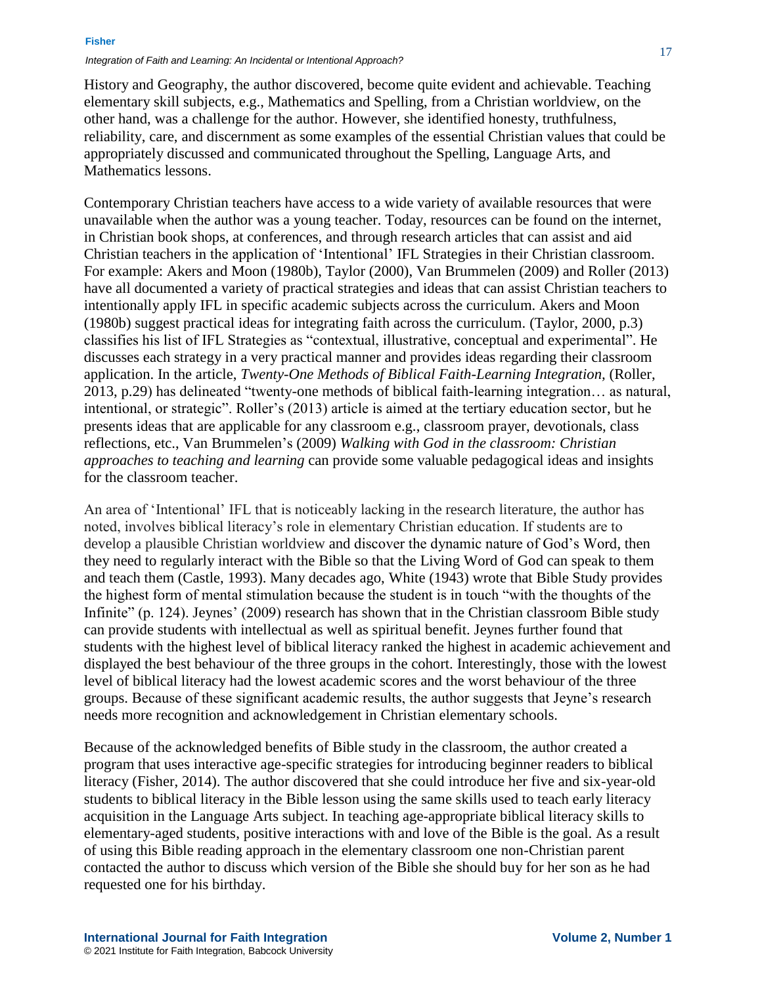History and Geography, the author discovered, become quite evident and achievable. Teaching elementary skill subjects, e.g., Mathematics and Spelling, from a Christian worldview, on the other hand, was a challenge for the author. However, she identified honesty, truthfulness, reliability, care, and discernment as some examples of the essential Christian values that could be appropriately discussed and communicated throughout the Spelling, Language Arts, and Mathematics lessons.

Contemporary Christian teachers have access to a wide variety of available resources that were unavailable when the author was a young teacher. Today, resources can be found on the internet, in Christian book shops, at conferences, and through research articles that can assist and aid Christian teachers in the application of 'Intentional' IFL Strategies in their Christian classroom. For example: Akers and Moon (1980b), Taylor (2000), Van Brummelen (2009) and Roller (2013) have all documented a variety of practical strategies and ideas that can assist Christian teachers to intentionally apply IFL in specific academic subjects across the curriculum. Akers and Moon (1980b) suggest practical ideas for integrating faith across the curriculum. (Taylor, 2000, p.3) classifies his list of IFL Strategies as "contextual, illustrative, conceptual and experimental". He discusses each strategy in a very practical manner and provides ideas regarding their classroom application. In the article, *Twenty-One Methods of Biblical Faith-Learning Integration,* (Roller, 2013, p.29) has delineated "twenty-one methods of biblical faith-learning integration… as natural, intentional, or strategic". Roller's (2013) article is aimed at the tertiary education sector, but he presents ideas that are applicable for any classroom e.g., classroom prayer, devotionals, class reflections, etc., Van Brummelen's (2009) *Walking with God in the classroom: Christian approaches to teaching and learning* can provide some valuable pedagogical ideas and insights for the classroom teacher.

An area of 'Intentional' IFL that is noticeably lacking in the research literature, the author has noted, involves biblical literacy's role in elementary Christian education. If students are to develop a plausible Christian worldview and discover the dynamic nature of God's Word, then they need to regularly interact with the Bible so that the Living Word of God can speak to them and teach them (Castle, 1993). Many decades ago, White (1943) wrote that Bible Study provides the highest form of mental stimulation because the student is in touch "with the thoughts of the Infinite" (p. 124). Jeynes' (2009) research has shown that in the Christian classroom Bible study can provide students with intellectual as well as spiritual benefit. Jeynes further found that students with the highest level of biblical literacy ranked the highest in academic achievement and displayed the best behaviour of the three groups in the cohort. Interestingly, those with the lowest level of biblical literacy had the lowest academic scores and the worst behaviour of the three groups. Because of these significant academic results, the author suggests that Jeyne's research needs more recognition and acknowledgement in Christian elementary schools.

Because of the acknowledged benefits of Bible study in the classroom, the author created a program that uses interactive age-specific strategies for introducing beginner readers to biblical literacy (Fisher, 2014). The author discovered that she could introduce her five and six-year-old students to biblical literacy in the Bible lesson using the same skills used to teach early literacy acquisition in the Language Arts subject. In teaching age-appropriate biblical literacy skills to elementary-aged students, positive interactions with and love of the Bible is the goal. As a result of using this Bible reading approach in the elementary classroom one non-Christian parent contacted the author to discuss which version of the Bible she should buy for her son as he had requested one for his birthday.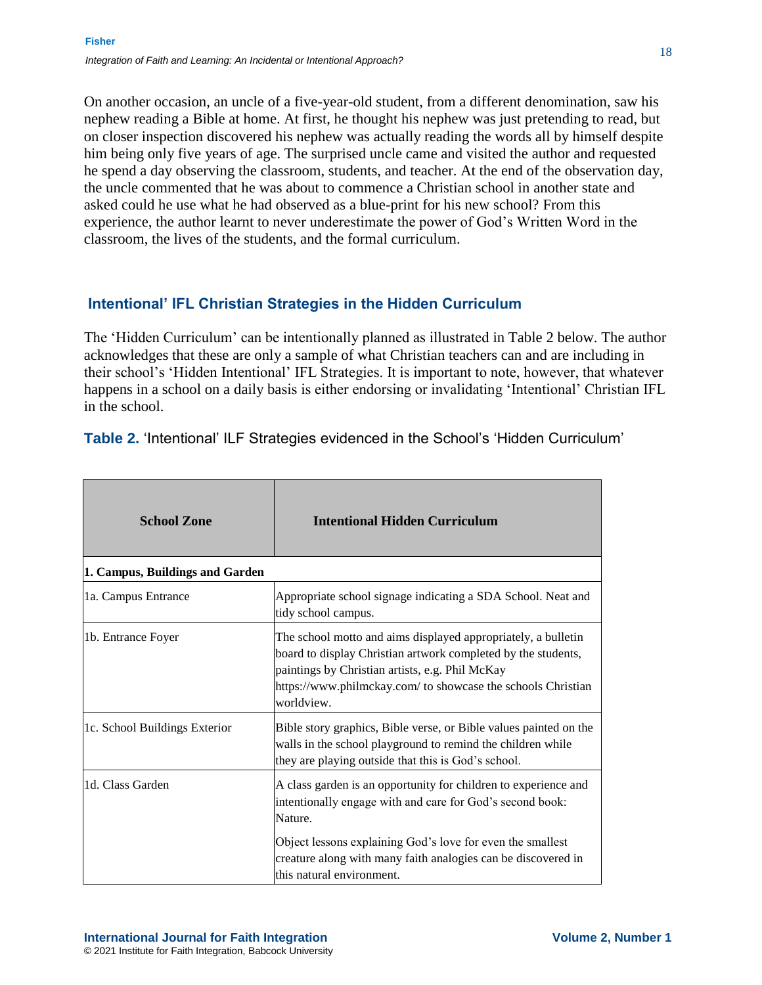On another occasion, an uncle of a five-year-old student, from a different denomination, saw his nephew reading a Bible at home. At first, he thought his nephew was just pretending to read, but on closer inspection discovered his nephew was actually reading the words all by himself despite him being only five years of age. The surprised uncle came and visited the author and requested he spend a day observing the classroom, students, and teacher. At the end of the observation day, the uncle commented that he was about to commence a Christian school in another state and asked could he use what he had observed as a blue-print for his new school? From this experience, the author learnt to never underestimate the power of God's Written Word in the classroom, the lives of the students, and the formal curriculum.

### **Intentional' IFL Christian Strategies in the Hidden Curriculum**

The 'Hidden Curriculum' can be intentionally planned as illustrated in Table 2 below. The author acknowledges that these are only a sample of what Christian teachers can and are including in their school's 'Hidden Intentional' IFL Strategies. It is important to note, however, that whatever happens in a school on a daily basis is either endorsing or invalidating 'Intentional' Christian IFL in the school.

| <b>School Zone</b>              | <b>Intentional Hidden Curriculum</b>                                                                                                                                                                                                                            |
|---------------------------------|-----------------------------------------------------------------------------------------------------------------------------------------------------------------------------------------------------------------------------------------------------------------|
| 1. Campus, Buildings and Garden |                                                                                                                                                                                                                                                                 |
| 1a. Campus Entrance             | Appropriate school signage indicating a SDA School. Neat and<br>tidy school campus.                                                                                                                                                                             |
| 1b. Entrance Foyer              | The school motto and aims displayed appropriately, a bulletin<br>board to display Christian artwork completed by the students,<br>paintings by Christian artists, e.g. Phil McKay<br>https://www.philmckay.com/ to showcase the schools Christian<br>worldview. |
| 1c. School Buildings Exterior   | Bible story graphics, Bible verse, or Bible values painted on the<br>walls in the school playground to remind the children while<br>they are playing outside that this is God's school.                                                                         |
| 1d. Class Garden                | A class garden is an opportunity for children to experience and<br>intentionally engage with and care for God's second book:<br>Nature.                                                                                                                         |
|                                 | Object lessons explaining God's love for even the smallest<br>creature along with many faith analogies can be discovered in<br>this natural environment.                                                                                                        |

**Table 2.** 'Intentional' ILF Strategies evidenced in the School's 'Hidden Curriculum'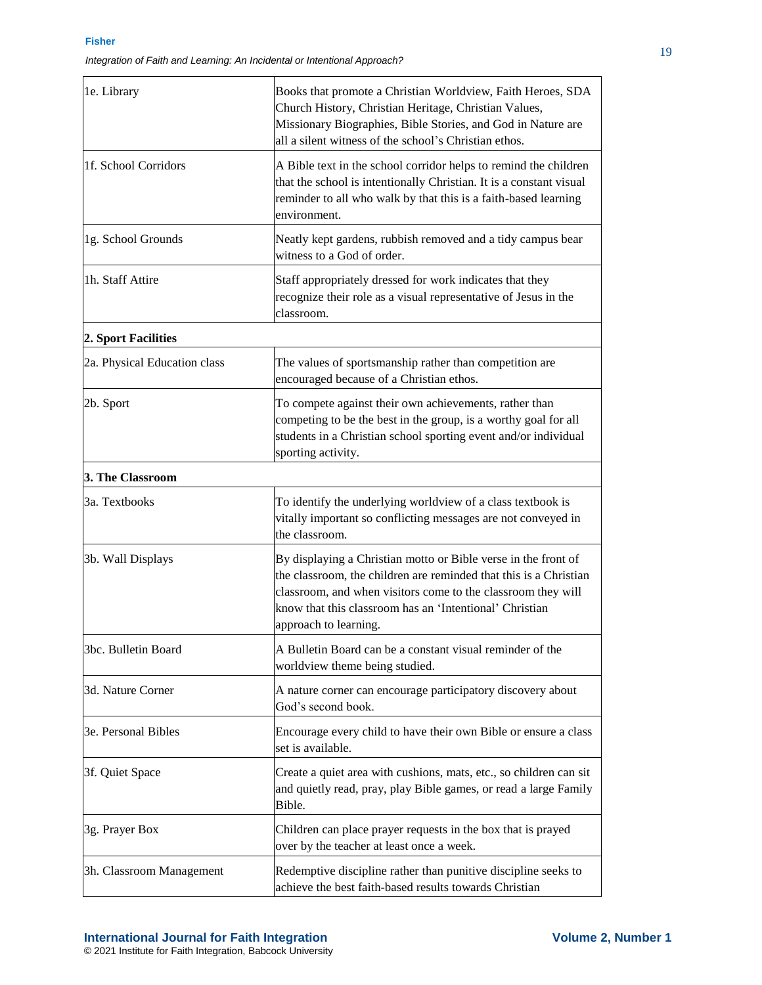| 1e. Library                  | Books that promote a Christian Worldview, Faith Heroes, SDA<br>Church History, Christian Heritage, Christian Values,<br>Missionary Biographies, Bible Stories, and God in Nature are<br>all a silent witness of the school's Christian ethos.                                           |
|------------------------------|-----------------------------------------------------------------------------------------------------------------------------------------------------------------------------------------------------------------------------------------------------------------------------------------|
| 1f. School Corridors         | A Bible text in the school corridor helps to remind the children<br>that the school is intentionally Christian. It is a constant visual<br>reminder to all who walk by that this is a faith-based learning<br>environment.                                                              |
| 1g. School Grounds           | Neatly kept gardens, rubbish removed and a tidy campus bear<br>witness to a God of order.                                                                                                                                                                                               |
| 1h. Staff Attire             | Staff appropriately dressed for work indicates that they<br>recognize their role as a visual representative of Jesus in the<br>classroom.                                                                                                                                               |
| 2. Sport Facilities          |                                                                                                                                                                                                                                                                                         |
| 2a. Physical Education class | The values of sportsmanship rather than competition are<br>encouraged because of a Christian ethos.                                                                                                                                                                                     |
| 2b. Sport                    | To compete against their own achievements, rather than<br>competing to be the best in the group, is a worthy goal for all<br>students in a Christian school sporting event and/or individual<br>sporting activity.                                                                      |
| 3. The Classroom             |                                                                                                                                                                                                                                                                                         |
| 3a. Textbooks                | To identify the underlying worldview of a class textbook is<br>vitally important so conflicting messages are not conveyed in<br>the classroom.                                                                                                                                          |
| 3b. Wall Displays            | By displaying a Christian motto or Bible verse in the front of<br>the classroom, the children are reminded that this is a Christian<br>classroom, and when visitors come to the classroom they will<br>know that this classroom has an 'Intentional' Christian<br>approach to learning. |
| 3bc. Bulletin Board          | A Bulletin Board can be a constant visual reminder of the<br>worldview theme being studied.                                                                                                                                                                                             |
| 3d. Nature Corner            | A nature corner can encourage participatory discovery about<br>God's second book.                                                                                                                                                                                                       |
| 3e. Personal Bibles          | Encourage every child to have their own Bible or ensure a class<br>set is available.                                                                                                                                                                                                    |
| 3f. Quiet Space              | Create a quiet area with cushions, mats, etc., so children can sit<br>and quietly read, pray, play Bible games, or read a large Family<br>Bible.                                                                                                                                        |
| 3g. Prayer Box               | Children can place prayer requests in the box that is prayed<br>over by the teacher at least once a week.                                                                                                                                                                               |
| 3h. Classroom Management     | Redemptive discipline rather than punitive discipline seeks to<br>achieve the best faith-based results towards Christian                                                                                                                                                                |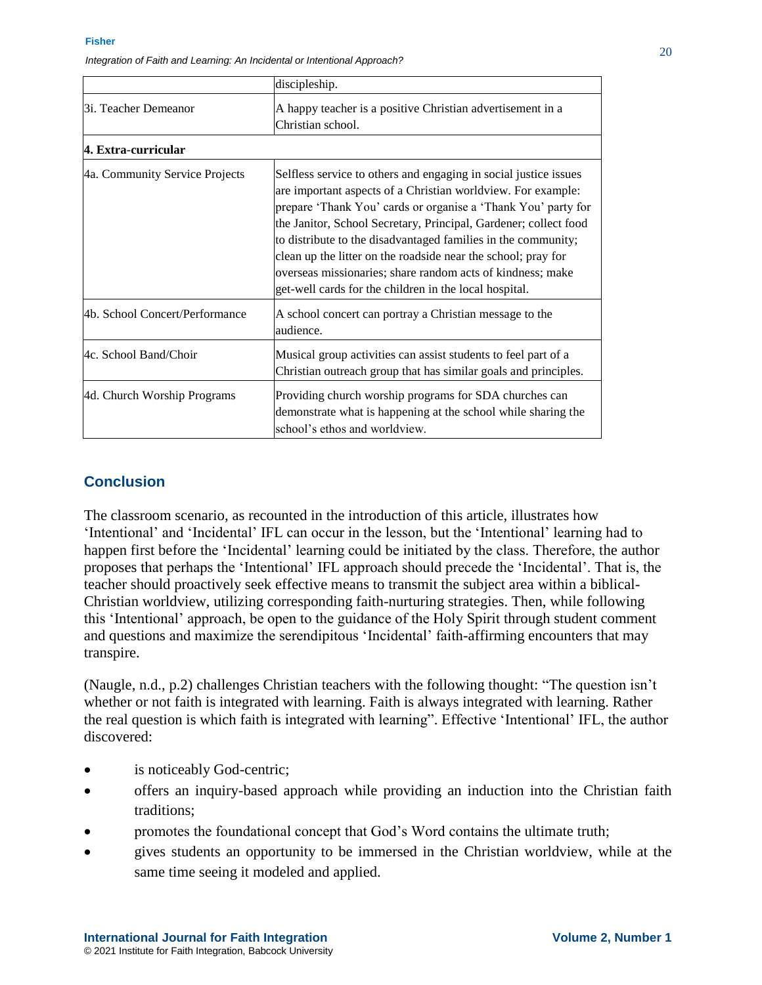|                                | discipleship.                                                                                                                                                                                                                                                                                                                                                                                                                                                                                                                   |
|--------------------------------|---------------------------------------------------------------------------------------------------------------------------------------------------------------------------------------------------------------------------------------------------------------------------------------------------------------------------------------------------------------------------------------------------------------------------------------------------------------------------------------------------------------------------------|
| 3i. Teacher Demeanor           | A happy teacher is a positive Christian advertisement in a<br>Christian school.                                                                                                                                                                                                                                                                                                                                                                                                                                                 |
| 4. Extra-curricular            |                                                                                                                                                                                                                                                                                                                                                                                                                                                                                                                                 |
| 4a. Community Service Projects | Selfless service to others and engaging in social justice issues<br>are important aspects of a Christian worldview. For example:<br>prepare 'Thank You' cards or organise a 'Thank You' party for<br>the Janitor, School Secretary, Principal, Gardener; collect food<br>to distribute to the disadvantaged families in the community;<br>clean up the litter on the roadside near the school; pray for<br>overseas missionaries; share random acts of kindness; make<br>get-well cards for the children in the local hospital. |
| 4b. School Concert/Performance | A school concert can portray a Christian message to the<br>audience.                                                                                                                                                                                                                                                                                                                                                                                                                                                            |
| 4c. School Band/Choir          | Musical group activities can assist students to feel part of a<br>Christian outreach group that has similar goals and principles.                                                                                                                                                                                                                                                                                                                                                                                               |
| 4d. Church Worship Programs    | Providing church worship programs for SDA churches can<br>demonstrate what is happening at the school while sharing the<br>school's ethos and worldview.                                                                                                                                                                                                                                                                                                                                                                        |

### **Conclusion**

The classroom scenario, as recounted in the introduction of this article, illustrates how 'Intentional' and 'Incidental' IFL can occur in the lesson, but the 'Intentional' learning had to happen first before the 'Incidental' learning could be initiated by the class. Therefore, the author proposes that perhaps the 'Intentional' IFL approach should precede the 'Incidental'. That is, the teacher should proactively seek effective means to transmit the subject area within a biblical-Christian worldview, utilizing corresponding faith-nurturing strategies. Then, while following this 'Intentional' approach, be open to the guidance of the Holy Spirit through student comment and questions and maximize the serendipitous 'Incidental' faith-affirming encounters that may transpire.

(Naugle, n.d., p.2) challenges Christian teachers with the following thought: "The question isn't whether or not faith is integrated with learning. Faith is always integrated with learning. Rather the real question is which faith is integrated with learning". Effective 'Intentional' IFL, the author discovered:

- is noticeably God-centric;
- offers an inquiry-based approach while providing an induction into the Christian faith traditions;
- promotes the foundational concept that God's Word contains the ultimate truth;
- gives students an opportunity to be immersed in the Christian worldview, while at the same time seeing it modeled and applied.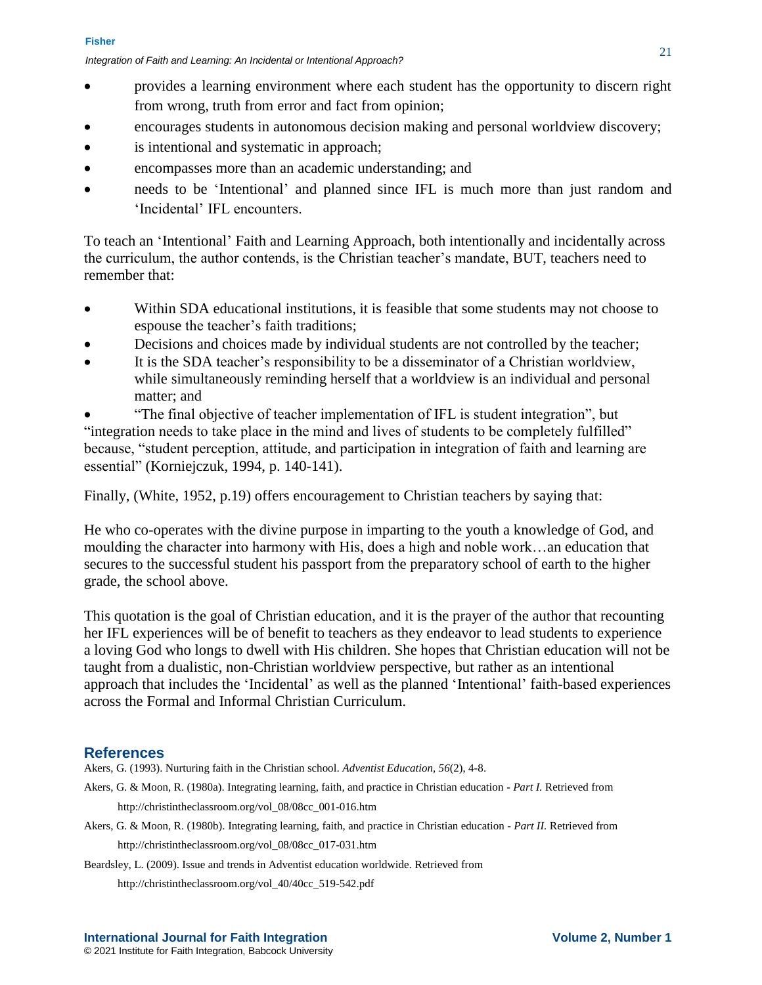- provides a learning environment where each student has the opportunity to discern right from wrong, truth from error and fact from opinion;
- encourages students in autonomous decision making and personal worldview discovery;
- is intentional and systematic in approach;
- encompasses more than an academic understanding; and
- needs to be 'Intentional' and planned since IFL is much more than just random and 'Incidental' IFL encounters.

To teach an 'Intentional' Faith and Learning Approach, both intentionally and incidentally across the curriculum, the author contends, is the Christian teacher's mandate, BUT, teachers need to remember that:

- Within SDA educational institutions, it is feasible that some students may not choose to espouse the teacher's faith traditions;
- Decisions and choices made by individual students are not controlled by the teacher;
- It is the SDA teacher's responsibility to be a disseminator of a Christian worldview, while simultaneously reminding herself that a worldview is an individual and personal matter; and

 "The final objective of teacher implementation of IFL is student integration", but "integration needs to take place in the mind and lives of students to be completely fulfilled" because, "student perception, attitude, and participation in integration of faith and learning are essential" (Korniejczuk, 1994, p. 140-141).

Finally, (White, 1952, p.19) offers encouragement to Christian teachers by saying that:

He who co-operates with the divine purpose in imparting to the youth a knowledge of God, and moulding the character into harmony with His, does a high and noble work…an education that secures to the successful student his passport from the preparatory school of earth to the higher grade, the school above.

This quotation is the goal of Christian education, and it is the prayer of the author that recounting her IFL experiences will be of benefit to teachers as they endeavor to lead students to experience a loving God who longs to dwell with His children. She hopes that Christian education will not be taught from a dualistic, non-Christian worldview perspective, but rather as an intentional approach that includes the 'Incidental' as well as the planned 'Intentional' faith-based experiences across the Formal and Informal Christian Curriculum.

### **References**

Akers, G. (1993). Nurturing faith in the Christian school. *Adventist Education, 56*(2), 4-8.

- Akers, G. & Moon, R. (1980a). Integrating learning, faith, and practice in Christian education *- Part I.* Retrieved from http://christintheclassroom.org/vol\_08/08cc\_001-016.htm
- Akers, G. & Moon, R. (1980b). Integrating learning, faith, and practice in Christian education *- Part II.* Retrieved from http://christintheclassroom.org/vol\_08/08cc\_017-031.htm
- Beardsley, L. (2009). Issue and trends in Adventist education worldwide*.* Retrieved from

http://christintheclassroom.org/vol\_40/40cc\_519-542.pdf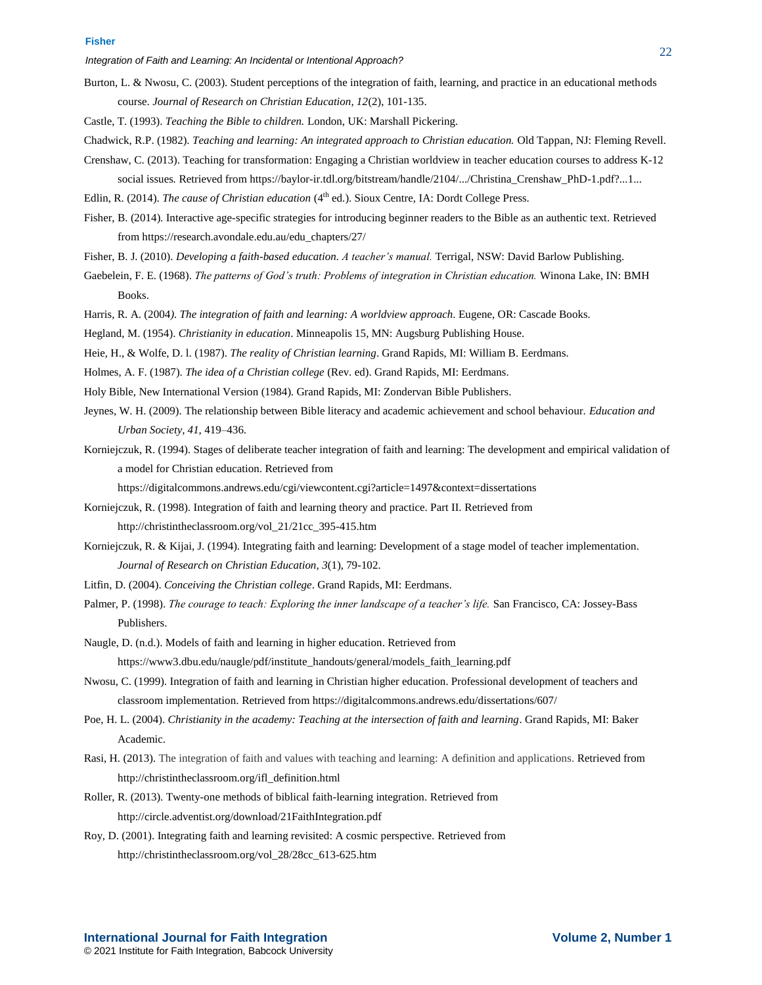Burton, L. & Nwosu, C. (2003). Student perceptions of the integration of faith, learning, and practice in an educational methods course. *Journal of Research on Christian Education, 12*(2), 101-135.

Castle, T. (1993). *Teaching the Bible to children.* London, UK: Marshall Pickering.

- Chadwick, R.P. (1982). *Teaching and learning: An integrated approach to Christian education.* Old Tappan, NJ: Fleming Revell.
- Crenshaw, C. (2013). Teaching for transformation: Engaging a Christian worldview in teacher education courses to address K-12 social issues*.* Retrieved from https://baylor-ir.tdl.org/bitstream/handle/2104/.../Christina\_Crenshaw\_PhD-1.pdf?...1...
- Edlin, R. (2014). *The cause of Christian education* (4<sup>th</sup> ed.). Sioux Centre, IA: Dordt College Press.
- Fisher, B. (2014). Interactive age-specific strategies for introducing beginner readers to the Bible as an authentic text*.* Retrieved from https://research.avondale.edu.au/edu\_chapters/27/
- Fisher, B. J. (2010). *Developing a faith-based education. A teacher's manual.* Terrigal, NSW: David Barlow Publishing.
- Gaebelein, F. E. (1968). *The patterns of God's truth: Problems of integration in Christian education.* Winona Lake, IN: BMH Books.
- Harris, R. A. (2004*). The integration of faith and learning: A worldview approach*. Eugene, OR: Cascade Books.
- Hegland, M. (1954). *Christianity in education*. Minneapolis 15, MN: Augsburg Publishing House.
- Heie, H., & Wolfe, D. l. (1987). *The reality of Christian learning*. Grand Rapids, MI: William B. Eerdmans.
- Holmes, A. F. (1987). *The idea of a Christian college* (Rev. ed). Grand Rapids, MI: Eerdmans.
- Holy Bible, New International Version (1984). Grand Rapids, MI: Zondervan Bible Publishers.
- Jeynes, W. H. (2009). The relationship between Bible literacy and academic achievement and school behaviour. *Education and Urban Society, 41,* 419–436.
- Korniejczuk, R. (1994). Stages of deliberate teacher integration of faith and learning: The development and empirical validation of a model for Christian education*.* Retrieved from

https://digitalcommons.andrews.edu/cgi/viewcontent.cgi?article=1497&context=dissertations

- Korniejczuk, R. (1998). Integration of faith and learning theory and practice. Part II*.* Retrieved from http://christintheclassroom.org/vol\_21/21cc\_395-415.htm
- Korniejczuk, R. & Kijai, J. (1994). Integrating faith and learning: Development of a stage model of teacher implementation. *Journal of Research on Christian Education, 3*(1), 79-102.
- Litfin, D. (2004). *Conceiving the Christian college*. Grand Rapids, MI: Eerdmans.
- Palmer, P. (1998). *The courage to teach: Exploring the inner landscape of a teacher's life.* San Francisco, CA: Jossey-Bass Publishers.
- Naugle, D. (n.d.). Models of faith and learning in higher education. Retrieved from https://www3.dbu.edu/naugle/pdf/institute\_handouts/general/models\_faith\_learning.pdf
- Nwosu, C. (1999). Integration of faith and learning in Christian higher education. Professional development of teachers and classroom implementation. Retrieved from https://digitalcommons.andrews.edu/dissertations/607/
- Poe, H. L. (2004). *Christianity in the academy: Teaching at the intersection of faith and learning*. Grand Rapids, MI: Baker Academic.
- Rasi, H. (2013). The integration of faith and values with teaching and learning: A definition and applications. Retrieved from http://christintheclassroom.org/ifl\_definition.html
- Roller, R. (2013). Twenty-one methods of biblical faith-learning integration. Retrieved from http://circle.adventist.org/download/21FaithIntegration.pdf
- Roy, D. (2001). Integrating faith and learning revisited: A cosmic perspective*.* Retrieved from http://christintheclassroom.org/vol\_28/28cc\_613-625.htm